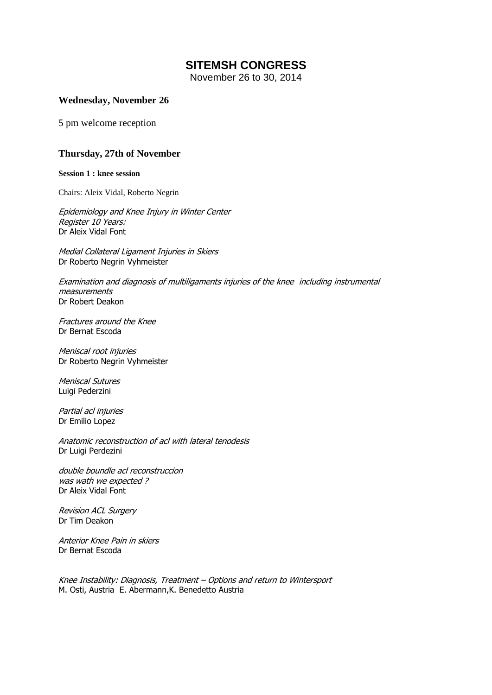# **SITEMSH CONGRESS**

November 26 to 30, 2014

## **Wednesday, November 26**

5 pm welcome reception

## **Thursday, 27th of November**

**Session 1 : knee session**

Chairs: Aleix Vidal, Roberto Negrin

Epidemiology and Knee Injury in Winter Center Register 10 Years: Dr Aleix Vidal Font

Medial Collateral Ligament Injuries in Skiers Dr Roberto Negrin Vyhmeister

Examination and diagnosis of multiligaments injuries of the knee including instrumental measurements Dr Robert Deakon

Fractures around the Knee Dr Bernat Escoda

Meniscal root injuries Dr Roberto Negrin Vyhmeister

Meniscal Sutures Luigi Pederzini

Partial acl injuries Dr Emilio Lopez

Anatomic reconstruction of acl with lateral tenodesis Dr Luigi Perdezini

double boundle acl reconstruccion was wath we expected ? Dr Aleix Vidal Font

Revision ACL Surgery Dr Tim Deakon

Anterior Knee Pain in skiers Dr Bernat Escoda

Knee Instability: Diagnosis, Treatment – Options and return to Wintersport M. Osti, Austria E. Abermann,K. Benedetto Austria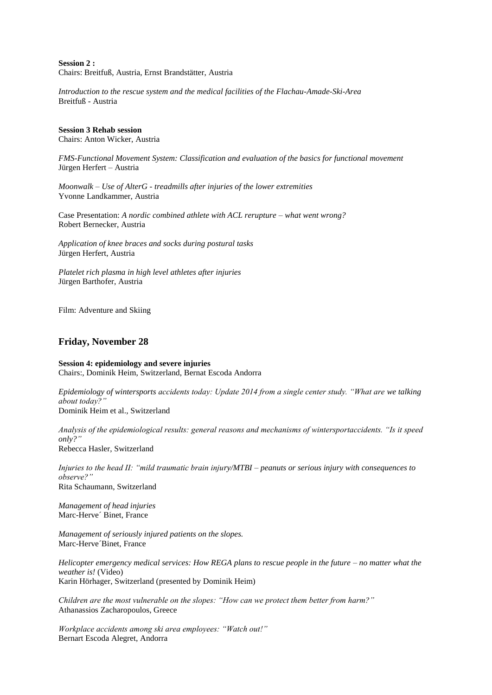**Session 2 :**  Chairs: Breitfuß, Austria, Ernst Brandstätter, Austria

*Introduction to the rescue system and the medical facilities of the Flachau-Amade-Ski-Area* Breitfuß - Austria

#### **Session 3 Rehab session**

Chairs: Anton Wicker, Austria

*FMS-Functional Movement System: Classification and evaluation of the basics for functional movement* Jürgen Herfert – Austria

*Moonwalk – Use of AlterG - treadmills after injuries of the lower extremities* Yvonne Landkammer, Austria

Case Presentation: *A nordic combined athlete with ACL rerupture – what went wrong?* Robert Bernecker, Austria

*Application of knee braces and socks during postural tasks* Jürgen Herfert, Austria

*Platelet rich plasma in high level athletes after injuries* Jürgen Barthofer, Austria

Film: Adventure and Skiing

## **Friday, November 28**

**Session 4: epidemiology and severe injuries** Chairs:, Dominik Heim, Switzerland, Bernat Escoda Andorra

*Epidemiology of wintersports accidents today: Update 2014 from a single center study. "What are we talking about today?"*

Dominik Heim et al., Switzerland

*Analysis of the epidemiological results: general reasons and mechanisms of wintersportaccidents. "Is it speed only?"* Rebecca Hasler, Switzerland

*Injuries to the head II: "mild traumatic brain injury/MTBI – peanuts or serious injury with consequences to observe?"* Rita Schaumann, Switzerland

*Management of head injuries* Marc-Herve´ Binet, France

*Management of seriously injured patients on the slopes.* Marc-Herve´Binet, France

*Helicopter emergency medical services: How REGA plans to rescue people in the future – no matter what the weather is!* (Video) Karin Hörhager, Switzerland (presented by Dominik Heim)

*Children are the most vulnerable on the slopes: "How can we protect them better from harm?"* Athanassios Zacharopoulos, Greece

*Workplace accidents among ski area employees: "Watch out!"* Bernart Escoda Alegret, Andorra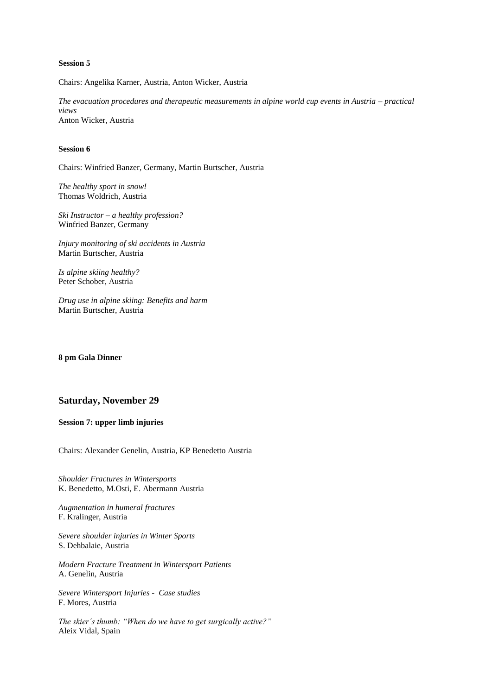### **Session 5**

Chairs: Angelika Karner, Austria, Anton Wicker, Austria

*The evacuation procedures and therapeutic measurements in alpine world cup events in Austria – practical views* Anton Wicker, Austria

### **Session 6**

Chairs: Winfried Banzer, Germany, Martin Burtscher, Austria

*The healthy sport in snow!* Thomas Woldrich, Austria

*Ski Instructor – a healthy profession?* Winfried Banzer, Germany

*Injury monitoring of ski accidents in Austria* Martin Burtscher, Austria

*Is alpine skiing healthy?* Peter Schober, Austria

*Drug use in alpine skiing: Benefits and harm* Martin Burtscher, Austria

**8 pm Gala Dinner**

### **Saturday, November 29**

**Session 7: upper limb injuries**

Chairs: Alexander Genelin, Austria, KP Benedetto Austria

*Shoulder Fractures in Wintersports* K. Benedetto, M.Osti, E. Abermann Austria

*Augmentation in humeral fractures* F. Kralinger, Austria

*Severe shoulder injuries in Winter Sports* S. Dehbalaie, Austria

*Modern Fracture Treatment in Wintersport Patients* A. Genelin, Austria

*Severe Wintersport Injuries - Case studies* F. Mores, Austria

*The skier´s thumb: "When do we have to get surgically active?"* Aleix Vidal, Spain